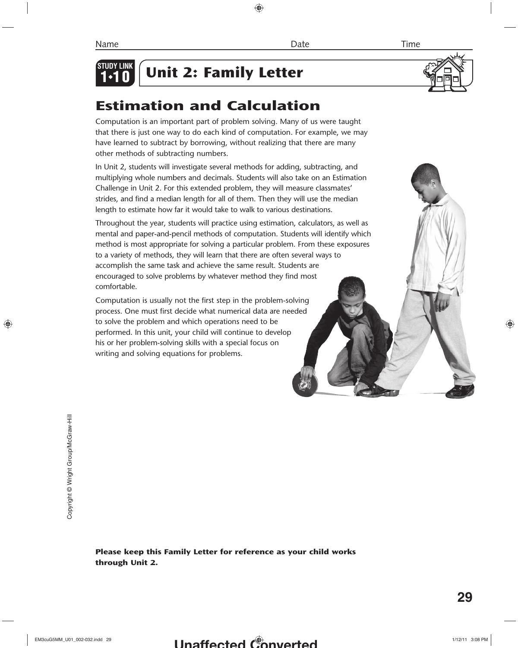

# **Unit 2: Family Letter**



## **Estimation and Calculation**

Computation is an important part of problem solving. Many of us were taught that there is just one way to do each kind of computation. For example, we may have learned to subtract by borrowing, without realizing that there are many other methods of subtracting numbers.

In Unit 2, students will investigate several methods for adding, subtracting, and multiplying whole numbers and decimals. Students will also take on an Estimation Challenge in Unit 2. For this extended problem, they will measure classmates' strides, and find a median length for all of them. Then they will use the median length to estimate how far it would take to walk to various destinations.

Throughout the year, students will practice using estimation, calculators, as well as mental and paper-and-pencil methods of computation. Students will identify which method is most appropriate for solving a particular problem. From these exposures to a variety of methods, they will learn that there are often several ways to accomplish the same task and achieve the same result. Students are encouraged to solve problems by whatever method they find most comfortable.

Computation is usually not the first step in the problem-solving process. One must first decide what numerical data are needed to solve the problem and which operations need to be performed. In this unit, your child will continue to develop his or her problem-solving skills with a special focus on writing and solving equations for problems.

Copyright © Wright Group/McGraw-Hill

Copyright @ Wright Group/McGraw-Hill

#### **Please keep this Family Letter for reference as your child works through Unit 2.**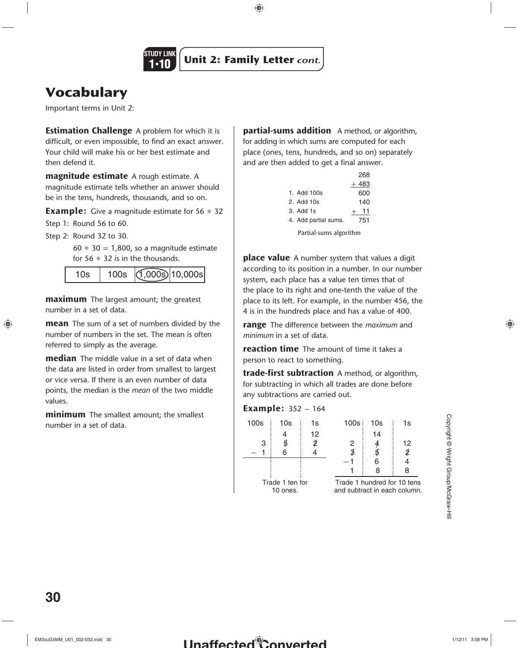

## **Vocabulary**

Important terms in Unit 2:

**Estimation Challenge** A problem for which it is difficult, or even impossible, to find an exact answer. Your child will make his or her best estimate and then defend it.

**magnitude estimate** A rough estimate. A magnitude estimate tells whether an answer should be in the tens, hundreds, thousands, and so on.

**Example:** Give a magnitude estimate for 56  $*$  32

Step 1: Round 56 to 60.

Step 2: Round 32 to 30.

 $60 * 30 = 1,800$ , so a magnitude estimate for  $56 * 32$  is in the thousands.

|  |  | $(1,000s)$ 10,000s |
|--|--|--------------------|
|--|--|--------------------|

**maximum** The largest amount; the greatest number in a set of data.

**mean** The sum of a set of numbers divided by the number of numbers in the set. The mean is often referred to simply as the average.

**median** The middle value in a set of data when the data are listed in order from smallest to largest or vice versa. If there is an even number of data points, the median is the *mean* of the two middle values.

**minimum** The smallest amount; the smallest number in a set of data.

**partial-sums addition** A method, or algorithm, for adding in which sums are computed for each place (ones, tens, hundreds, and so on) separately and are then added to get a final answer.

|                        |                      | 268    |
|------------------------|----------------------|--------|
|                        |                      | $+483$ |
|                        | 1. Add $100s$        | 600    |
|                        | 2. Add $10s$         | 140    |
|                        | $3.$ Add $1s$        | $-11$  |
|                        | 4. Add partial sums. | 751    |
| Partial-sums algorithm |                      |        |

**place value** A number system that values a digit according to its position in a number. In our number system, each place has a value ten times that of the place to its right and one-tenth the value of the place to its left. For example, in the number 456, the 4 is in the hundreds place and has a value of 400.

**range** The difference between the *maximum* and *minimum* in a set of data.

**reaction time** The amount of time it takes a person to react to something.

**trade-first subtraction** A method, or algorithm, for subtracting in which all trades are done before any subtractions are carried out.

#### **Example:**  $352 - 164$

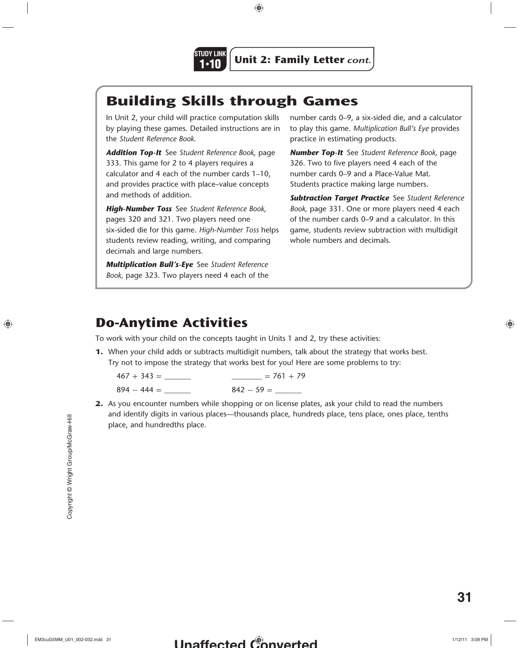

## **Building Skills through Games**

In Unit 2, your child will practice computation skills by playing these games. Detailed instructions are in the *Student Reference Book.*

*Addition Top-It* See *Student Reference Book,* page 333. This game for 2 to 4 players requires a calculator and 4 each of the number cards 1–10, and provides practice with place–value concepts and methods of addition.

*High-Number Toss* See *Student Reference Book,* pages 320 and 321. Two players need one six-sided die for this game. *High-Number Toss* helps students review reading, writing, and comparing decimals and large numbers.

*Multiplication Bull's-Eye* See *Student Reference Book,* page 323. Two players need 4 each of the number cards 0–9, a six-sided die, and a calculator to play this game. *Multiplication Bull's Eye* provides practice in estimating products.

*Number Top-It* See *Student Reference Book,* page 326. Two to five players need 4 each of the number cards 0–9 and a Place-Value Mat. Students practice making large numbers.

*Subtraction Target Practice* See *Student Reference Book,* page 331. One or more players need 4 each of the number cards 0–9 and a calculator. In this game, students review subtraction with multidigit whole numbers and decimals.

## **Do-Anytime Activities**

To work with your child on the concepts taught in Units 1 and 2, try these activities:

**1.** When your child adds or subtracts multidigit numbers, talk about the strategy that works best. Try not to impose the strategy that works best for you! Here are some problems to try:

 $467 + 343 =$  \_\_\_\_\_\_\_\_\_\_\_\_\_\_\_\_\_\_\_\_\_\_\_\_\_\_ = 761 + 79 894 - 444 = \_\_\_\_\_\_\_ 842 - 59 = \_\_\_\_\_\_\_

**2.** As you encounter numbers while shopping or on license plates, ask your child to read the numbers and identify digits in various places—thousands place, hundreds place, tens place, ones place, tenths place, and hundredths place.